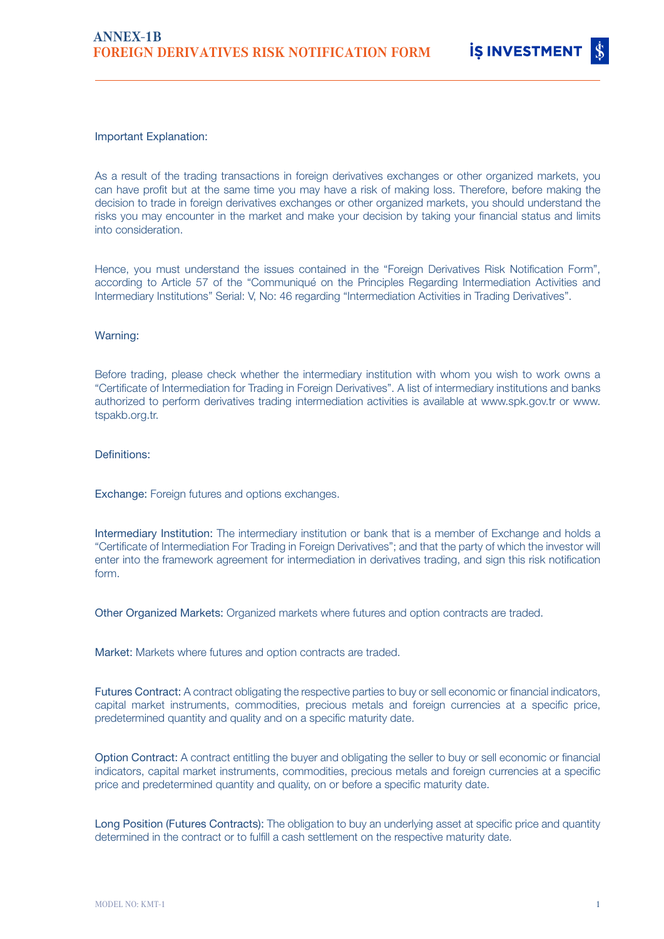### Important Explanation:

As a result of the trading transactions in foreign derivatives exchanges or other organized markets, you can have profit but at the same time you may have a risk of making loss. Therefore, before making the decision to trade in foreign derivatives exchanges or other organized markets, you should understand the risks you may encounter in the market and make your decision by taking your financial status and limits into consideration.

Hence, you must understand the issues contained in the "Foreign Derivatives Risk Notification Form", according to Article 57 of the "Communiqué on the Principles Regarding Intermediation Activities and Intermediary Institutions" Serial: V, No: 46 regarding "Intermediation Activities in Trading Derivatives".

### Warning:

Before trading, please check whether the intermediary institution with whom you wish to work owns a "Certificate of Intermediation for Trading in Foreign Derivatives". A list of intermediary institutions and banks authorized to perform derivatives trading intermediation activities is available at www.spk.gov.tr or www. tspakb.org.tr.

#### Definitions:

Exchange: Foreign futures and options exchanges.

Intermediary Institution: The intermediary institution or bank that is a member of Exchange and holds a "Certificate of Intermediation For Trading in Foreign Derivatives"; and that the party of which the investor will enter into the framework agreement for intermediation in derivatives trading, and sign this risk notification form.

Other Organized Markets: Organized markets where futures and option contracts are traded.

Market: Markets where futures and option contracts are traded.

Futures Contract: A contract obligating the respective parties to buy or sell economic or financial indicators, capital market instruments, commodities, precious metals and foreign currencies at a specific price, predetermined quantity and quality and on a specific maturity date.

Option Contract: A contract entitling the buyer and obligating the seller to buy or sell economic or financial indicators, capital market instruments, commodities, precious metals and foreign currencies at a specific price and predetermined quantity and quality, on or before a specific maturity date.

Long Position (Futures Contracts): The obligation to buy an underlying asset at specific price and quantity determined in the contract or to fulfill a cash settlement on the respective maturity date.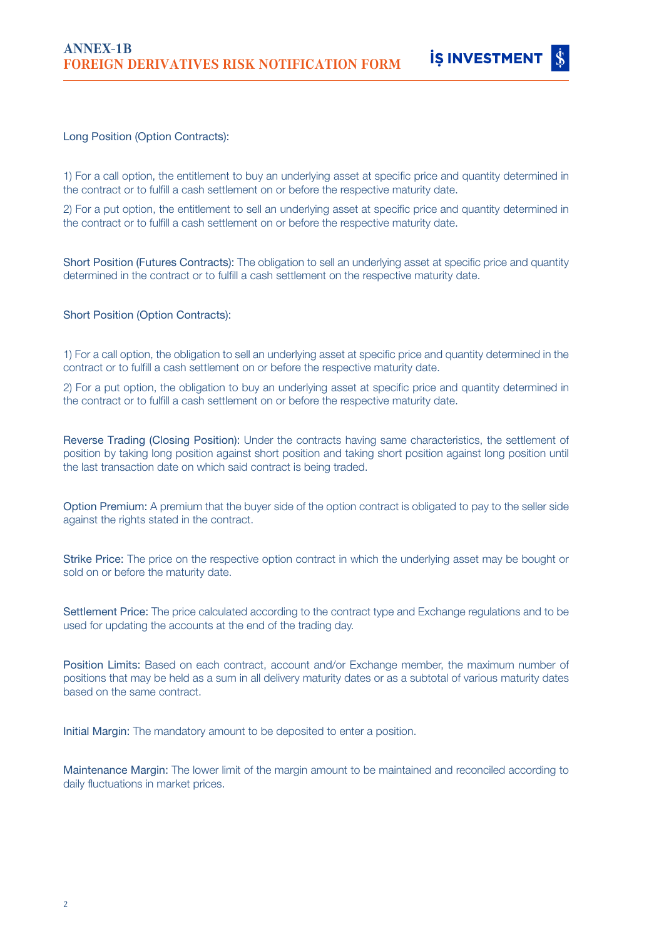

# Long Position (Option Contracts):

1) For a call option, the entitlement to buy an underlying asset at specific price and quantity determined in the contract or to fulfill a cash settlement on or before the respective maturity date.

2) For a put option, the entitlement to sell an underlying asset at specific price and quantity determined in the contract or to fulfill a cash settlement on or before the respective maturity date.

Short Position (Futures Contracts): The obligation to sell an underlying asset at specific price and quantity determined in the contract or to fulfill a cash settlement on the respective maturity date.

# Short Position (Option Contracts):

1) For a call option, the obligation to sell an underlying asset at specific price and quantity determined in the contract or to fulfill a cash settlement on or before the respective maturity date.

2) For a put option, the obligation to buy an underlying asset at specific price and quantity determined in the contract or to fulfill a cash settlement on or before the respective maturity date.

Reverse Trading (Closing Position): Under the contracts having same characteristics, the settlement of position by taking long position against short position and taking short position against long position until the last transaction date on which said contract is being traded.

Option Premium: A premium that the buyer side of the option contract is obligated to pay to the seller side against the rights stated in the contract.

Strike Price: The price on the respective option contract in which the underlying asset may be bought or sold on or before the maturity date.

Settlement Price: The price calculated according to the contract type and Exchange regulations and to be used for updating the accounts at the end of the trading day.

Position Limits: Based on each contract, account and/or Exchange member, the maximum number of positions that may be held as a sum in all delivery maturity dates or as a subtotal of various maturity dates based on the same contract.

Initial Margin: The mandatory amount to be deposited to enter a position.

Maintenance Margin: The lower limit of the margin amount to be maintained and reconciled according to daily fluctuations in market prices.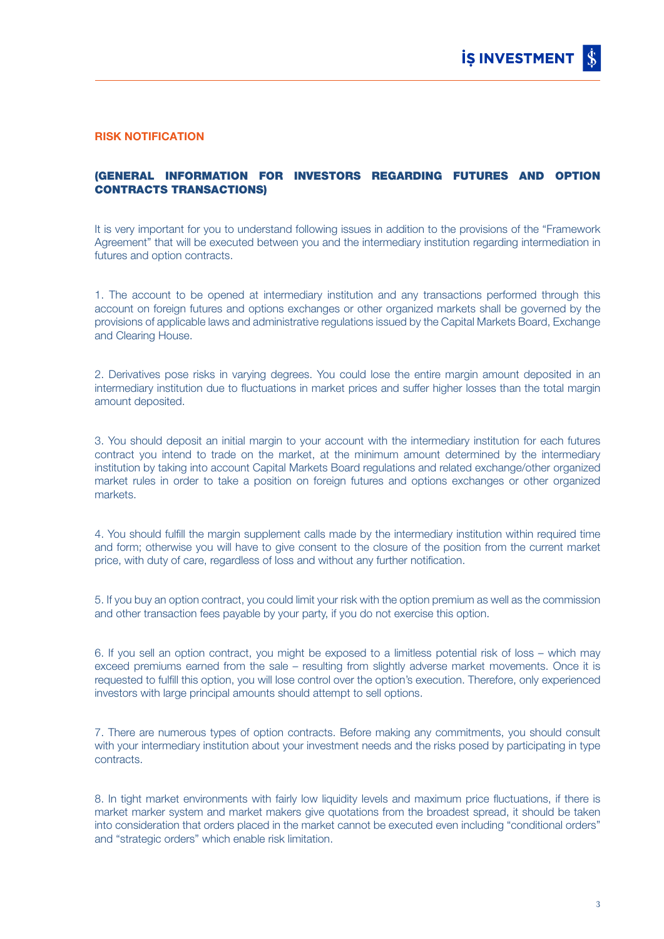#### RISK NOTIFICATION

# (GENERAL INFORMATION FOR INVESTORS REGARDING FUTURES AND OPTION CONTRACTS TRANSACTIONS)

It is very important for you to understand following issues in addition to the provisions of the "Framework Agreement" that will be executed between you and the intermediary institution regarding intermediation in futures and option contracts.

1. The account to be opened at intermediary institution and any transactions performed through this account on foreign futures and options exchanges or other organized markets shall be governed by the provisions of applicable laws and administrative regulations issued by the Capital Markets Board, Exchange and Clearing House.

2. Derivatives pose risks in varying degrees. You could lose the entire margin amount deposited in an intermediary institution due to fluctuations in market prices and suffer higher losses than the total margin amount deposited.

3. You should deposit an initial margin to your account with the intermediary institution for each futures contract you intend to trade on the market, at the minimum amount determined by the intermediary institution by taking into account Capital Markets Board regulations and related exchange/other organized market rules in order to take a position on foreign futures and options exchanges or other organized markets.

4. You should fulfill the margin supplement calls made by the intermediary institution within required time and form; otherwise you will have to give consent to the closure of the position from the current market price, with duty of care, regardless of loss and without any further notification.

5. If you buy an option contract, you could limit your risk with the option premium as well as the commission and other transaction fees payable by your party, if you do not exercise this option.

6. If you sell an option contract, you might be exposed to a limitless potential risk of loss – which may exceed premiums earned from the sale – resulting from slightly adverse market movements. Once it is requested to fulfill this option, you will lose control over the option's execution. Therefore, only experienced investors with large principal amounts should attempt to sell options.

7. There are numerous types of option contracts. Before making any commitments, you should consult with your intermediary institution about your investment needs and the risks posed by participating in type contracts.

8. In tight market environments with fairly low liquidity levels and maximum price fluctuations, if there is market marker system and market makers give quotations from the broadest spread, it should be taken into consideration that orders placed in the market cannot be executed even including "conditional orders" and "strategic orders" which enable risk limitation.